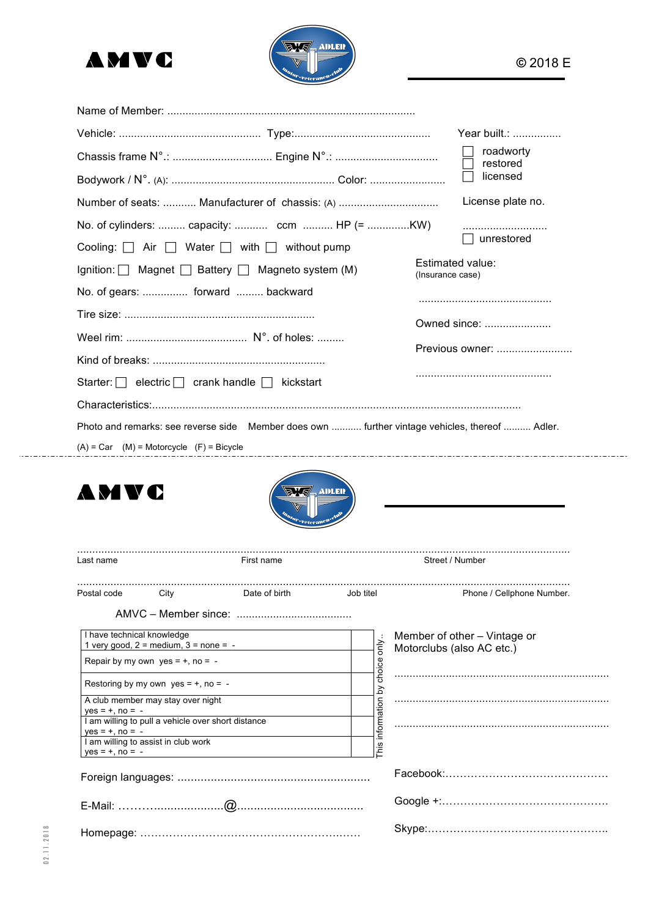



|                                                                                                   |               |                      |                                 | Year built.:              |
|---------------------------------------------------------------------------------------------------|---------------|----------------------|---------------------------------|---------------------------|
|                                                                                                   |               |                      |                                 | roadworty                 |
|                                                                                                   |               | restored<br>licensed |                                 |                           |
|                                                                                                   |               |                      |                                 | License plate no.         |
| No. of cylinders:  capacity:  ccm  HP (= KW)                                                      |               |                      |                                 |                           |
| Cooling: $\Box$ Air $\Box$ Water $\Box$ with $\Box$ without pump                                  |               |                      |                                 | unrestored                |
| Ignition:   Magnet   Battery   Magneto system (M)                                                 |               |                      | Estimated value:                |                           |
| No. of gears:  forward  backward                                                                  |               |                      | (Insurance case)                |                           |
|                                                                                                   |               |                      |                                 |                           |
|                                                                                                   |               |                      | Owned since:<br>Previous owner: |                           |
|                                                                                                   |               |                      |                                 |                           |
|                                                                                                   |               |                      |                                 |                           |
| Photo and remarks: see reverse side  Member does own  further vintage vehicles, thereof  Adler.   |               |                      |                                 |                           |
| $(A) = Car$ $(M) = Motorcycle$ $(F) = Bicycle$                                                    |               |                      |                                 |                           |
|                                                                                                   |               |                      |                                 |                           |
|                                                                                                   |               |                      |                                 |                           |
| Last name                                                                                         | First name    |                      | Street / Number                 |                           |
| Postal code<br>City                                                                               | Date of birth | Job titel            |                                 | Phone / Cellphone Number. |
|                                                                                                   |               |                      |                                 |                           |
| I have technical knowledge                                                                        |               |                      | Member of other - Vintage or    |                           |
| 1 very good, $2 = \text{medium}$ , $3 = \text{none} = -$<br>Repair by my own yes = $+$ , no = $-$ |               |                      | Motorclubs (also AC etc.)       |                           |
| Restoring by my own $yes = +$ , no = -                                                            |               |                      |                                 |                           |
| A club member may stay over night                                                                 |               | by choice only       |                                 |                           |
| $yes = +$ , $no = -$<br>I am willing to pull a vehicle over short distance                        |               |                      |                                 |                           |
| $yes = +$ , no = -<br>I am willing to assist in club work<br>$yes = +, no = -$                    |               | This information     |                                 |                           |
|                                                                                                   |               |                      |                                 |                           |